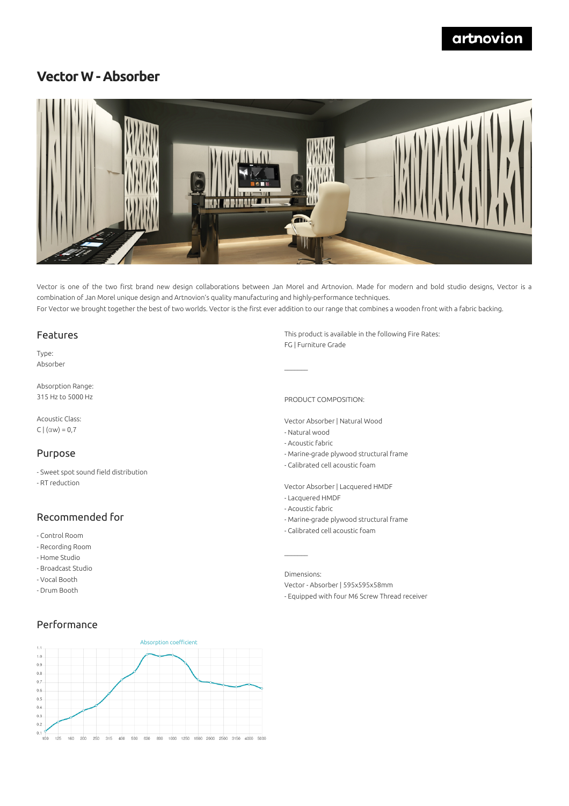# **Vector W - Absorber**



Vector is one of the two first brand new design collaborations between Jan Morel and Artnovion. Made for modern and bold studio designs, Vector is a combination of Jan Morel unique design and Artnovion's quality manufacturing and highly-performance techniques. For Vector we brought together the best of two worlds. Vector is the first ever addition to our range that combines a wooden front with a fabric backing.

#### Features

Type: Absorber

Absorption Range: 315 Hz to 5000 Hz

Acoustic Class: C  $|(\alpha w) = 0.7$ 

#### Purpose

- Sweet spot sound field distribution
- RT reduction

### Recommended for

- Control Room
- Recording Room
- Home Studio
- Broadcast Studio
- Vocal Booth
- Drum Booth

#### Performance

Absorption coefficient  $1.1$  $1.0$  $0.9$  $0.8$  $0.7$  $0.6$  $0.5%$  $0.4$  $0.3$  $0.2$  $0.1$ 100 125 160 200 250 315 400 500 630 800 1000 1250 1600 2000 2500 3150 4000 5000

This product is available in the following Fire Rates: FG | Furniture Grade

PRODUCT COMPOSITION:

- Vector Absorber | Natural Wood
- Natural wood
- Acoustic fabric
- Marine-grade plywood structural frame
- Calibrated cell acoustic foam
- Vector Absorber | Lacquered HMDF
- Lacquered HMDF
- Acoustic fabric

 $\mathcal{L}=\mathcal{L}$ 

- Marine-grade plywood structural frame
- Calibrated cell acoustic foam

Dimensions:

Vector - Absorber | 595x595x58mm - Equipped with four M6 Screw Thread receiver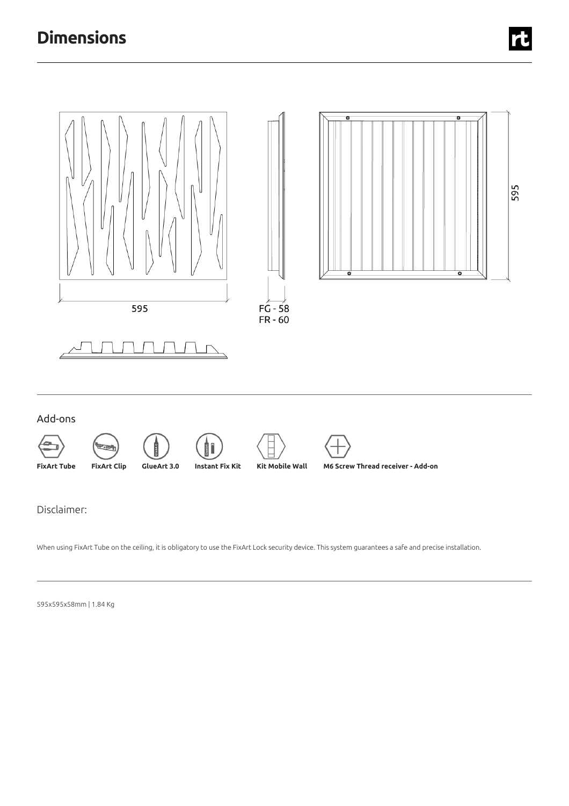

When using FixArt Tube on the ceiling, it is obligatory to use the FixArt Lock security device. This system guarantees a safe and precise installation.

595x595x58mm |1.84 Kg